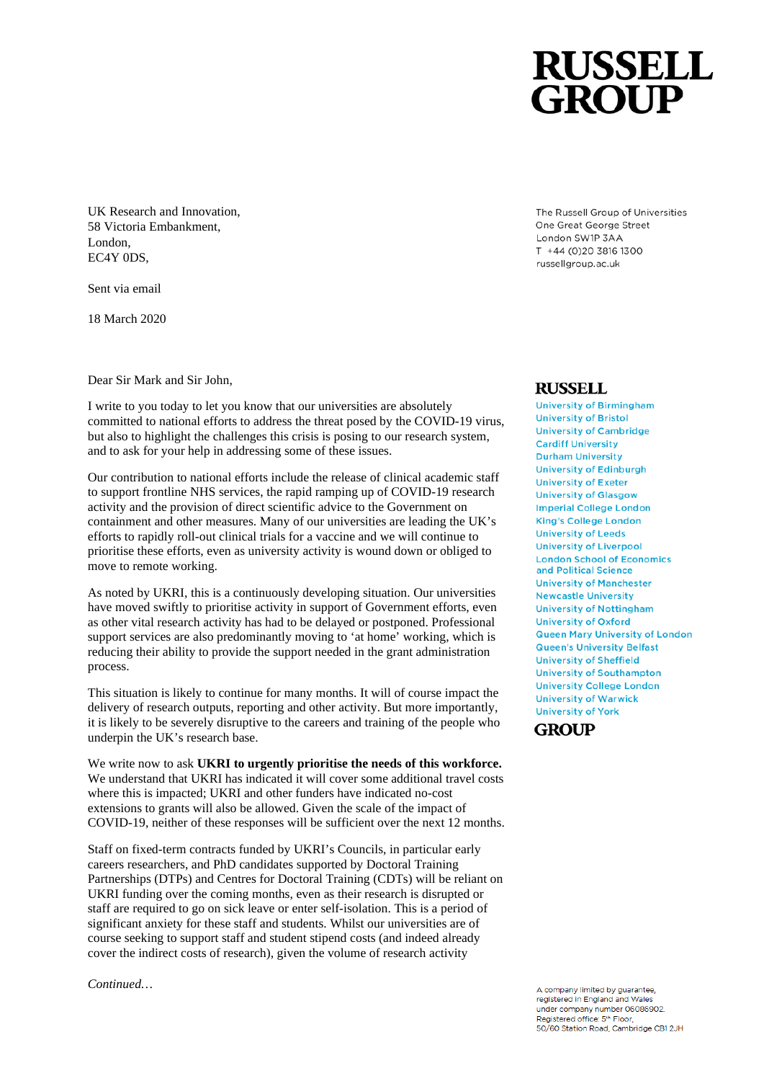UK Research and Innovation, 58 Victoria Embankment, London, EC4Y 0DS,

Sent via email

18 March 2020

Dear Sir Mark and Sir John,

I write to you today to let you know that our universities are absolutely committed to national efforts to address the threat posed by the COVID-19 virus, but also to highlight the challenges this crisis is posing to our research system, and to ask for your help in addressing some of these issues.

Our contribution to national efforts include the release of clinical academic staff to support frontline NHS services, the rapid ramping up of COVID-19 research activity and the provision of direct scientific advice to the Government on containment and other measures. Many of our universities are leading the UK's efforts to rapidly roll-out clinical trials for a vaccine and we will continue to prioritise these efforts, even as university activity is wound down or obliged to move to remote working.

As noted by UKRI, this is a continuously developing situation. Our universities have moved swiftly to prioritise activity in support of Government efforts, even as other vital research activity has had to be delayed or postponed. Professional support services are also predominantly moving to 'at home' working, which is reducing their ability to provide the support needed in the grant administration process.

This situation is likely to continue for many months. It will of course impact the delivery of research outputs, reporting and other activity. But more importantly, it is likely to be severely disruptive to the careers and training of the people who underpin the UK's research base.

We write now to ask **UKRI to urgently prioritise the needs of this workforce.**  We understand that UKRI has indicated it will cover some additional travel costs where this is impacted; UKRI and other funders have indicated no-cost extensions to grants will also be allowed. Given the scale of the impact of COVID-19, neither of these responses will be sufficient over the next 12 months.

Staff on fixed-term contracts funded by UKRI's Councils, in particular early careers researchers, and PhD candidates supported by Doctoral Training Partnerships (DTPs) and Centres for Doctoral Training (CDTs) will be reliant on UKRI funding over the coming months, even as their research is disrupted or staff are required to go on sick leave or enter self-isolation. This is a period of significant anxiety for these staff and students. Whilst our universities are of course seeking to support staff and student stipend costs (and indeed already cover the indirect costs of research), given the volume of research activity

*Continued…*

The Russell Group of Universities One Great George Street London SW1P 3AA T +44 (0)20 3816 1300 russellgroup.ac.uk

## **RUSSELL**

**University of Birmingham University of Bristol University of Cambridge Cardiff University Durham University University of Edinburgh University of Exeter University of Glasgow Imperial College London King's College London University of Leeds University of Liverpool London School of Economics** and Political Science **University of Manchester Newcastle University University of Nottingham University of Oxford Queen Mary University of London** Queen's University Belfast **University of Sheffield University of Southampton University College London University of Warwick University of York** 

## GROUP

A company limited by guarantee registered in England and Wales under company number 06086902. Registered office: 5<sup>th</sup> Floor,<br>50/60 Station Road, Cambridge CB1 2JH